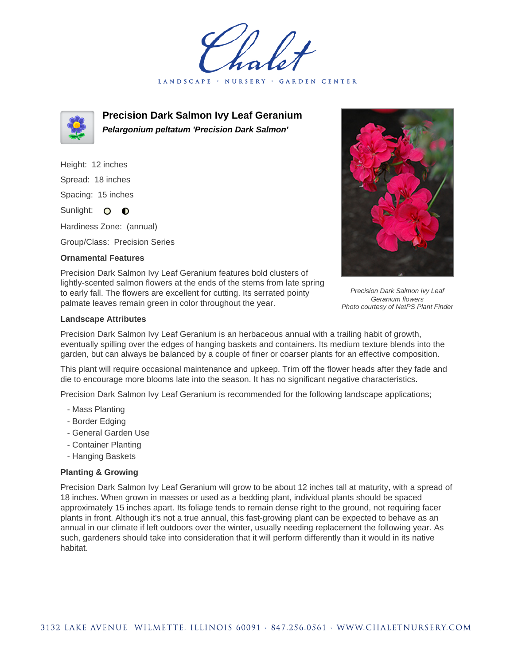GARDEN CENTER LANDSCAPE · NURSERY



**Precision Dark Salmon Ivy Leaf Geranium Pelargonium peltatum 'Precision Dark Salmon'**

Height: 12 inches Spread: 18 inches Spacing: 15 inches Sunlight: O **O** 

Hardiness Zone: (annual)

Group/Class: Precision Series

## **Ornamental Features**

Precision Dark Salmon Ivy Leaf Geranium features bold clusters of lightly-scented salmon flowers at the ends of the stems from late spring to early fall. The flowers are excellent for cutting. Its serrated pointy palmate leaves remain green in color throughout the year.



Precision Dark Salmon Ivy Leaf Geranium flowers Photo courtesy of NetPS Plant Finder

## **Landscape Attributes**

Precision Dark Salmon Ivy Leaf Geranium is an herbaceous annual with a trailing habit of growth, eventually spilling over the edges of hanging baskets and containers. Its medium texture blends into the garden, but can always be balanced by a couple of finer or coarser plants for an effective composition.

This plant will require occasional maintenance and upkeep. Trim off the flower heads after they fade and die to encourage more blooms late into the season. It has no significant negative characteristics.

Precision Dark Salmon Ivy Leaf Geranium is recommended for the following landscape applications;

- Mass Planting
- Border Edging
- General Garden Use
- Container Planting
- Hanging Baskets

## **Planting & Growing**

Precision Dark Salmon Ivy Leaf Geranium will grow to be about 12 inches tall at maturity, with a spread of 18 inches. When grown in masses or used as a bedding plant, individual plants should be spaced approximately 15 inches apart. Its foliage tends to remain dense right to the ground, not requiring facer plants in front. Although it's not a true annual, this fast-growing plant can be expected to behave as an annual in our climate if left outdoors over the winter, usually needing replacement the following year. As such, gardeners should take into consideration that it will perform differently than it would in its native habitat.